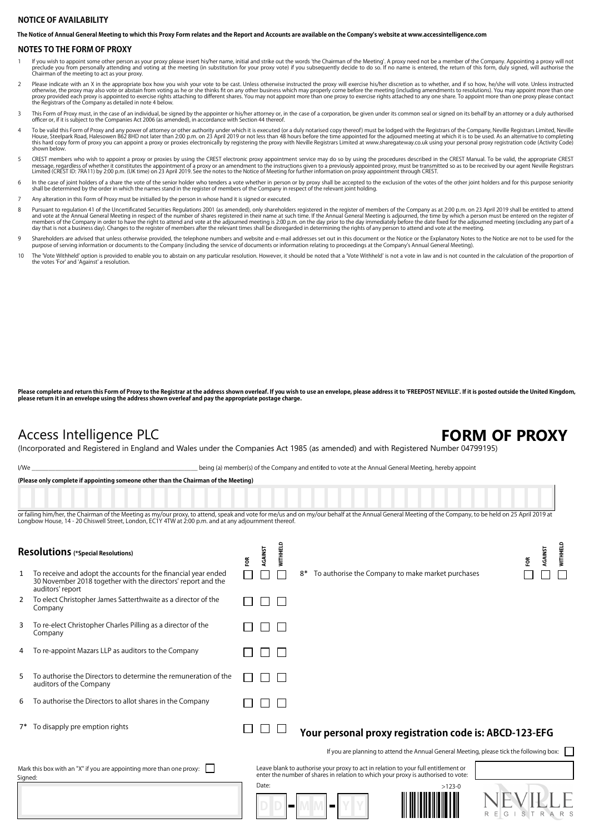## **NOTICE OF AVAILABILITY**

**The Notice of Annual General Meeting to which this Proxy Form relates and the Report and Accounts are available on the Company's website at www.accessintelligence.com**

### **NOTES TO THE FORM OF PROXY**

- If you wish to appoint some other person as your proxy please insert his/her name, initial and strike out the words 'the Chairman of the Meeting'. A proxy need not be a member of the Company. Appointing a proxy will not pr
- Please indicate with an X in the appropriate box how you wish your vote to be cast. Unless otherwise instructed the proxy will exercise his/her discretion as to whether, and if so how, he/she will vote. Unless instructed p
- 3 This Form of Proxy must, in the case of an individual, be signed by the appointer or his/her attorney or, in the case of a corporation, be given under its common seal or signed on its behalf by an attorney or a duly auth
- To be valid this Form of Proxy and any power of attorney or other authority under which it is executed (or a duly notarised copy thereof) must be lodged with the Registrars of the Company, Neville Registrars Limited, Nevil shown below.
- CREST members who wish to appoint a proxy or proxies by using the CREST electronic proxy appointment service may do so by using the procedures described in the CREST Manual. To be valid, the appropriate CREST ware area of
- h the case of joint holders of a share the vote of the senior holder who tenders a vote whether in person or by proxy shall be accepted to the exclusion of the votes of the other joint holders and for this purpose seniorit
- 7 Any alteration in this Form of Proxy must be initialled by the person in whose hand it is signed or executed.
- Pursuant to regulation 41 of the Uncertificated Securities Regulations 2001 (as amended), only shareholders registered in the register of members of the Company as at 2:00 p.m. on 23 April 2019 shall be entitled to attend
- 9 Shareholders are advised that unless otherwise provided, the telephone numbers and website and e-mail addresses set out in this document or the Notice or the Explanatory Notes to the Notice are not to be used for the<br>pur
- 10 The 'Vote Withheld' option is provided to enable you to abstain on any particular resolution. However, it should be noted that a 'Vote Withheld' is not a vote in law and is not counted in the calculation of the proporti the votes 'For' and 'Against' a resolution.

Please complete and return this Form of Proxy to the Registrar at the address shown overleaf. If you wish to use an envelope, please address it to 'FREEPOST NEVILLE'. If it is posted outside the United Kingdom, **please return it in an envelope using the address shown overleaf and pay the appropriate postage charge.**

# Access Intelligence PLC **FORM OF PROXY**

(Incorporated and Registered in England and Wales under the Companies Act 1985 (as amended) and with Registered Number 04799195)

I/We state of the Company and entitled to vote at the Annual General Meeting, hereby appoint

|  |  | (Please only complete if appointing someone other than the Chairman of the Meeting) |
|--|--|-------------------------------------------------------------------------------------|
|  |  |                                                                                     |

or failing him/her, the Chairman of the Meeting as my/our proxy, to attend, speak and vote for me/us and on my/our behalf at the Annual General Meeting of the Company, to be held on 25 April 2019 at Longbow House, 14 - 20 Chiswell Street, London, EC1Y 4TW at 2:00 p.m. and at any adjournment thereof.

| <b>Resolutions</b> (*Special Resolutions) |                                                                                                                                                    |  | AGAINST<br>ទ្ថ | 픭            |    |                                                                                                                                                                      |          |       | AGAINST<br>ã | <b>MITHHELD</b> |
|-------------------------------------------|----------------------------------------------------------------------------------------------------------------------------------------------------|--|----------------|--------------|----|----------------------------------------------------------------------------------------------------------------------------------------------------------------------|----------|-------|--------------|-----------------|
| 1                                         | To receive and adopt the accounts for the financial year ended<br>30 November 2018 together with the directors' report and the<br>auditors' report |  |                |              | 8* | To authorise the Company to make market purchases                                                                                                                    |          |       |              |                 |
| 2                                         | To elect Christopher James Satterthwaite as a director of the<br>Company                                                                           |  |                | $\mathbf{L}$ |    |                                                                                                                                                                      |          |       |              |                 |
| 3                                         | To re-elect Christopher Charles Pilling as a director of the<br>Company                                                                            |  |                |              |    |                                                                                                                                                                      |          |       |              |                 |
| 4                                         | To re-appoint Mazars LLP as auditors to the Company                                                                                                |  |                |              |    |                                                                                                                                                                      |          |       |              |                 |
| 5                                         | To authorise the Directors to determine the remuneration of the<br>auditors of the Company                                                         |  |                |              |    |                                                                                                                                                                      |          |       |              |                 |
| 6                                         | To authorise the Directors to allot shares in the Company                                                                                          |  |                |              |    |                                                                                                                                                                      |          |       |              |                 |
|                                           | 7* To disapply pre emption rights                                                                                                                  |  |                |              |    | Your personal proxy registration code is: ABCD-123-EFG                                                                                                               |          |       |              |                 |
|                                           |                                                                                                                                                    |  |                |              |    | If you are planning to attend the Annual General Meeting, please tick the following box:                                                                             |          |       |              |                 |
| Signed:                                   | Mark this box with an "X" if you are appointing more than one proxy:                                                                               |  |                |              |    | Leave blank to authorise your proxy to act in relation to your full entitlement or enter the number of shares in relation to which your proxy is authorised to vote: |          |       |              |                 |
|                                           |                                                                                                                                                    |  | Date:          |              |    | −                                                                                                                                                                    | $>123-0$ | R E G | STRARS       |                 |